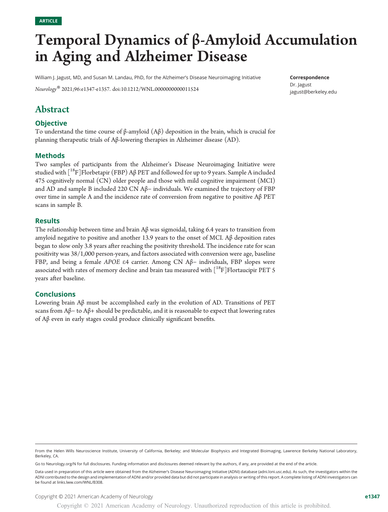# Temporal Dynamics of β-Amyloid Accumulation in Aging and Alzheimer Disease

William J. Jagust, MD, and Susan M. Landau, PhD, for the Alzheimer's Disease Neuroimaging Initiative

Neurology® 2021;96:e1347-e1357. doi[:10.1212/WNL.0000000000011524](http://dx.doi.org/10.1212/WNL.0000000000011524)

Correspondence

Dr. Jagust [jagust@berkeley.edu](mailto:jagust@berkeley.edu)

# Abstract

# **Objective**

To understand the time course of β-amyloid (Aβ) deposition in the brain, which is crucial for planning therapeutic trials of Aβ-lowering therapies in Alzheimer disease (AD).

# Methods

Two samples of participants from the Alzheimer's Disease Neuroimaging Initiative were studied with  $\binom{18}{1}F$  Florbetapir (FBP) A $\beta$  PET and followed for up to 9 years. Sample A included 475 cognitively normal (CN) older people and those with mild cognitive impairment (MCI) and AD and sample B included 220 CN Aβ− individuals. We examined the trajectory of FBP over time in sample A and the incidence rate of conversion from negative to positive Aβ PET scans in sample B.

### Results

The relationship between time and brain Aβ was sigmoidal, taking 6.4 years to transition from amyloid negative to positive and another 13.9 years to the onset of MCI. A $\beta$  deposition rates began to slow only 3.8 years after reaching the positivity threshold. The incidence rate for scan positivity was 38/1,000 person-years, and factors associated with conversion were age, baseline FBP, and being a female APOE <sup>e</sup>4 carrier. Among CN Aβ<sup>−</sup> individuals, FBP slopes were associated with rates of memory decline and brain tau measured with  $[^{18}F]$ Flortaucipir PET 5 years after baseline.

# Conclusions

Lowering brain Aβ must be accomplished early in the evolution of AD. Transitions of PET scans from Aβ− to Aβ+ should be predictable, and it is reasonable to expect that lowering rates of Aβ even in early stages could produce clinically significant benefits.

Go to [Neurology.org/N](https://n.neurology.org/lookup/doi/10.1212/WNL.0000000000011524) for full disclosures. Funding information and disclosures deemed relevant by the authors, if any, are provided at the end of the article.

Copyright © 2021 American Academy of Neurology entries and the set of the set of the set of the set of the set of the set of the set of the set of the set of the set of the set of the set of the set of the set of the set o

From the Helen Wills Neuroscience Institute, University of California, Berkeley; and Molecular Biophysics and Integrated Bioimaging, Lawrence Berkeley National Laboratory, Berkeley, CA.

Data used in preparation of this article were obtained from the Alzheimer's Disease Neuroimaging Initiative (ADNI) database [\(adni.loni.usc.edu\)](http://adni.loni.usc.edu). As such, the investigators within the ADNI contributed to the design and implementation of ADNI and/or provided data but did not participate in analysis or writing of this report. A complete listing of ADNI investigators can be found at [links.lww.com/WNL/B308.](http://links.lww.com/WNL/B308)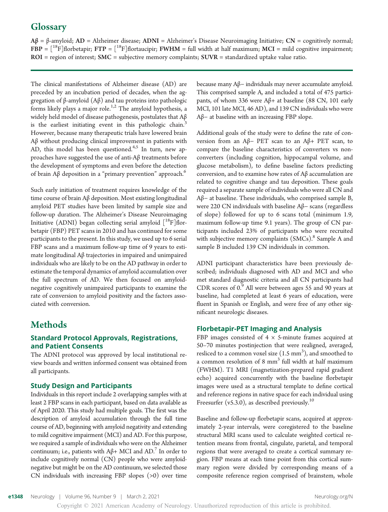# **Glossary**

 $A\beta = \beta$ -amyloid;  $AD =$  Alzheimer disease;  $ADNI =$  Alzheimer's Disease Neuroimaging Initiative;  $CN =$  cognitively normal;  $FBP = [^{18}F]$ florbetapir;  $FTP = [^{18}F]$ flortaucipir;  $FWHM = full$  width at half maximum;  $MCI = mild$  cognitive impairment;  $ROI = region of interest; SMC = subjective memory complaints; SUR = standardized uptake value ratio.$ 

The clinical manifestations of Alzheimer disease (AD) are preceded by an incubation period of decades, when the aggregation of β-amyloid (Aβ) and tau proteins into pathologic forms likely plays a major role.<sup>1,2</sup> The amyloid hypothesis, a widely held model of disease pathogenesis, postulates that Aβ is the earliest initiating event in this pathologic chain.<sup>3</sup> However, because many therapeutic trials have lowered brain Aβ without producing clinical improvement in patients with AD, this model has been questioned.<sup>4,5</sup> In turn, new approaches have suggested the use of anti-Aβ treatments before the development of symptoms and even before the detection of brain  $\Lambda\beta$  deposition in a "primary prevention" approach.<sup>6</sup>

Such early initiation of treatment requires knowledge of the time course of brain Aβ deposition. Most existing longitudinal amyloid PET studies have been limited by sample size and follow-up duration. The Alzheimer's Disease Neuroimaging Initiative (ADNI) began collecting serial amyloid  $[$ <sup>18</sup>F]florbetapir (FBP) PET scans in 2010 and has continued for some participants to the present. In this study, we used up to 6 serial FBP scans and a maximum follow-up time of 9 years to estimate longitudinal Aβ trajectories in impaired and unimpaired individuals who are likely to be on the AD pathway in order to estimate the temporal dynamics of amyloid accumulation over the full spectrum of AD. We then focused on amyloidnegative cognitively unimpaired participants to examine the rate of conversion to amyloid positivity and the factors associated with conversion.

# Methods

# Standard Protocol Approvals, Registrations, and Patient Consents

The ADNI protocol was approved by local institutional review boards and written informed consent was obtained from all participants.

# Study Design and Participants

Individuals in this report include 2 overlapping samples with at least 2 FBP scans in each participant, based on data available as of April 2020. This study had multiple goals. The first was the description of amyloid accumulation through the full time course of AD, beginning with amyloid negativity and extending to mild cognitive impairment (MCI) and AD. For this purpose, we required a sample of individuals who were on the Alzheimer continuum; i.e., patients with  $Aβ$ + MCI and  $AD$ <sup>7</sup> In order to include cognitively normal (CN) people who were amyloidnegative but might be on the AD continuum, we selected those CN individuals with increasing FBP slopes (>0) over time

because many Aβ− individuals may never accumulate amyloid. This comprised sample A, and included a total of 475 participants, of whom 336 were Aβ+ at baseline (88 CN, 101 early MCI, 101 late MCI, 46 AD), and 139 CN individuals who were Aβ− at baseline with an increasing FBP slope.

Additional goals of the study were to define the rate of conversion from an Aβ− PET scan to an Aβ+ PET scan, to compare the baseline characteristics of converters vs nonconverters (including cognition, hippocampal volume, and glucose metabolism), to define baseline factors predicting conversion, and to examine how rates of Aβ accumulation are related to cognitive change and tau deposition. These goals required a separate sample of individuals who were all CN and Aβ− at baseline. These individuals, who comprised sample B, were 220 CN individuals with baseline Aβ− scans (regardless of slope) followed for up to 6 scans total (minimum 1.9, maximum follow-up time 9.1 years). The group of CN participants included 23% of participants who were recruited with subjective memory complaints  $(SMCs)$ .<sup>8</sup> Sample A and sample B included 139 CN individuals in common.

ADNI participant characteristics have been previously described; individuals diagnosed with AD and MCI and who met standard diagnostic criteria and all CN participants had CDR scores of 0.<sup>9</sup> All were between ages 55 and 90 years at baseline, had completed at least 6 years of education, were fluent in Spanish or English, and were free of any other significant neurologic diseases.

# Florbetapir-PET Imaging and Analysis

FBP images consisted of  $4 \times$  5-minute frames acquired at 50–70 minutes postinjection that were realigned, averaged, resliced to a common voxel size  $(1.5 \text{ mm}^3)$ , and smoothed to a common resolution of 8  $mm<sup>3</sup>$  full width at half maximum (FWHM). T1 MRI (magnetization-prepared rapid gradient echo) acquired concurrently with the baseline florbetapir images were used as a structural template to define cortical and reference regions in native space for each individual using Freesurfer (v5.3.0), as described previously.<sup>10</sup>

Baseline and follow-up florbetapir scans, acquired at approximately 2-year intervals, were coregistered to the baseline structural MRI scans used to calculate weighted cortical retention means from frontal, cingulate, parietal, and temporal regions that were averaged to create a cortical summary region. FBP means at each time point from this cortical summary region were divided by corresponding means of a composite reference region comprised of brainstem, whole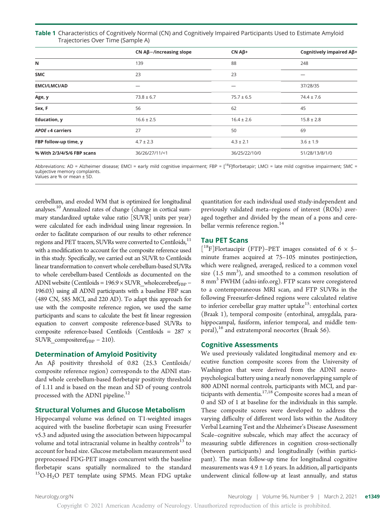| Table 1 Characteristics of Cognitively Normal (CN) and Cognitively Impaired Participants Used to Estimate Amyloid |  |  |
|-------------------------------------------------------------------------------------------------------------------|--|--|
| Trajectories Over Time (Sample A)                                                                                 |  |  |

|                            | $CN$ A $\beta$ -/increasing slope | $CN A\beta +$  | Cognitively impaired Aß+ |
|----------------------------|-----------------------------------|----------------|--------------------------|
| N                          | 139                               | 88             | 248                      |
| <b>SMC</b>                 | 23                                | 23             | –                        |
| <b>EMCI/LMCI/AD</b>        |                                   |                | 37/28/35                 |
| Age, y                     | $73.8 \pm 6.7$                    | $75.7 \pm 6.5$ | $74.4 \pm 7.6$           |
| Sex, F                     | 56                                | 62             | 45                       |
| <b>Education, y</b>        | $16.6 \pm 2.5$                    | $16.4 \pm 2.6$ | $15.8 \pm 2.8$           |
| APOE $\epsilon$ 4 carriers | 27                                | 50             | 69                       |
| FBP follow-up time, y      | $4.7 \pm 2.3$                     | $4.3 \pm 2.1$  | $3.6 \pm 1.9$            |
| % With 2/3/4/5/6 FBP scans | 36/26/27/11/<1                    | 36/25/22/10/0  | 51/28/13/8/1/0           |

Abbreviations: AD = Alzheimer disease; EMCI = early mild cognitive impairment; FBP = [<sup>18</sup>F]florbetapir; LMCI = late mild cognitive impairment; SMC = subjective memory complaints. Values are % or mean ± SD.

cerebellum, and eroded WM that is optimized for longitudinal analyses.10 Annualized rates of change (change in cortical summary standardized uptake value ratio [SUVR] units per year) were calculated for each individual using linear regression. In order to facilitate comparison of our results to other reference regions and PET tracers, SUVRs were converted to Centiloids,<sup>11</sup> with a modification to account for the composite reference used in this study. Specifically, we carried out an SUVR to Centiloids linear transformation to convert whole cerebellum-based SUVRs to whole cerebellum-based Centiloids as documented on the ADNI website (Centiloids =  $196.9 \times$  SUVR\_wholecerebref<sub>FBP</sub> – 196.03) using all ADNI participants with a baseline FBP scan (489 CN, 585 MCI, and 220 AD). To adapt this approach for use with the composite reference region, we used the same participants and scans to calculate the best fit linear regression equation to convert composite reference-based SUVRs to composite reference-based Centiloids (Centiloids = 287 ×  $SUVR_{\text{compositeref}_{FBP}} - 210$ .

### Determination of Amyloid Positivity

An Aβ positivity threshold of 0.82 (25.3 Centiloids/ composite reference region) corresponds to the ADNI standard whole cerebellum-based florbetapir positivity threshold of 1.11 and is based on the mean and SD of young controls processed with the ADNI pipeline.<sup>12</sup>

### Structural Volumes and Glucose Metabolism

Hippocampal volume was defined on T1-weighted images acquired with the baseline florbetapir scan using Freesurfer v5.3 and adjusted using the association between hippocampal volume and total intracranial volume in healthy controls<sup>13</sup> to account for head size. Glucose metabolism measurement used preprocessed FDG-PET images concurrent with the baseline florbetapir scans spatially normalized to the standard <sup>15</sup>O-H<sub>2</sub>O PET template using SPM5. Mean FDG uptake

quantitation for each individual used study-independent and previously validated meta–regions of interest (ROIs) averaged together and divided by the mean of a pons and cerebellar vermis reference region.<sup>14</sup>

### Tau PET Scans

[<sup>18</sup>F]Flortaucipir (FTP)-PET images consisted of 6 × 5minute frames acquired at 75–105 minutes postinjection, which were realigned, averaged, resliced to a common voxel size  $(1.5 \text{ mm}^3)$ , and smoothed to a common resolution of 8 mm<sup>3</sup> FWHM [\(adni-info.org\)](http://adni-info.org/). FTP scans were coregistered to a contemporaneous MRI scan, and FTP SUVRs in the following Freesurfer-defined regions were calculated relative to inferior cerebellar gray matter uptake<sup>15</sup>: entorhinal cortex (Braak 1), temporal composite (entorhinal, amygdala, parahippocampal, fusiform, inferior temporal, and middle temporal), $^{16}$  and extratemporal neocortex (Braak 56).

### Cognitive Assessments

We used previously validated longitudinal memory and executive function composite scores from the University of Washington that were derived from the ADNI neuropsychological battery using a nearly nonoverlapping sample of 800 ADNI normal controls, participants with MCI, and participants with dementia. $17,18$  Composite scores had a mean of 0 and SD of 1 at baseline for the individuals in this sample. These composite scores were developed to address the varying difficulty of different word lists within the Auditory Verbal Learning Test and the Alzheimer's Disease Assessment Scale–cognitive subscale, which may affect the accuracy of measuring subtle differences in cognition cross-sectionally (between participants) and longitudinally (within participant). The mean follow-up time for longitudinal cognitive measurements was  $4.9 \pm 1.6$  years. In addition, all participants underwent clinical follow-up at least annually, and status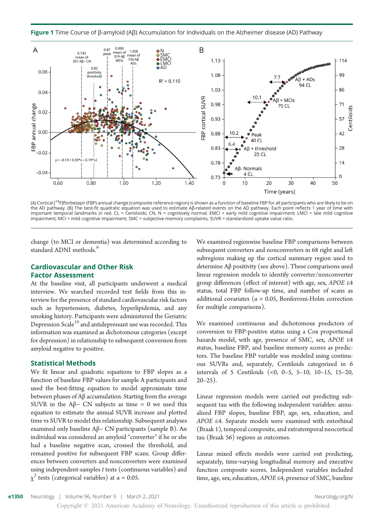Figure 1 Time Course of β-amyloid (Aβ) Accumulation for Individuals on the Alzheimer disease (AD) Pathway



(A) Cortical [<sup>18</sup>F]florbetapir (FBP) annual change (composite reference region) is shown as a function of baseline FBP for all participants who are likely to be on the AD pathway. (B) The best-fit quadratic equation was used to estimate Aβ-related events on the AD pathway. Each point reflects 1 year of time with important temporal landmarks in red. CL = Centiloids; CN, N = cognitively normal; EMCI = early mild cognitive impairment; LMCI = late mild cognitive impairment; MCI = mild cognitive impairment; SMC = subjective memory complaints; SUVR = standardized uptake value ratio.

change (to MCI or dementia) was determined according to standard ADNI methods.<sup>9</sup>

# Cardiovascular and Other Risk Factor Assessment

At the baseline visit, all participants underwent a medical interview. We searched recorded text fields from this interview for the presence of standard cardiovascular risk factors such as hypertension, diabetes, hyperlipidemia, and any smoking history. Participants were administered the Geriatric Depression Scale<sup>19</sup> and antidepressant use was recorded. This information was examined as dichotomous categories (except for depression) in relationship to subsequent conversion from amyloid negative to positive.

### Statistical Methods

We fit linear and quadratic equations to FBP slopes as a function of baseline FBP values for sample A participants and used the best-fitting equation to model approximate time between phases of Aβ accumulation. Starting from the average SUVR in the A $\beta$ − CN subjects as time = 0 we used this equation to estimate the annual SUVR increase and plotted time vs SUVR to model this relationship. Subsequent analyses examined only baseline Aβ− CN participants (sample B). An individual was considered an amyloid "converter" if he or she had a baseline negative scan, crossed the threshold, and remained positive for subsequent FBP scans. Group differences between converters and nonconverters were examined using independent-samples t tests (continuous variables) and  $\chi^2$  tests (categorical variables) at  $\alpha = 0.05$ .

We examined regionwise baseline FBP comparisons between subsequent converters and nonconverters in 68 right and left subregions making up the cortical summary region used to determine Aβ positivity (see above). These comparisons used linear regression models to identify converter/nonconverter group differences (effect of interest) with age, sex, APOE <sup>e</sup><sup>4</sup> status, total FBP follow-up time, and number of scans as additional covariates ( $\alpha = 0.05$ , Bonferroni-Holm correction for multiple comparisons).

We examined continuous and dichotomous predictors of conversion to FBP-positive status using a Cox proportional hazards model, with age, presence of SMC, sex, APOE  $\varepsilon$ 4 status, baseline FBP, and baseline memory scores as predictors. The baseline FBP variable was modeled using continuous SUVRs and, separately, Centiloids categorized in 6 intervals of 5 Centiloids (<0, 0–5, 5–10, 10–15, 15–20,  $20 - 25$ ).

Linear regression models were carried out predicting subsequent tau with the following independent variables: annualized FBP slopes, baseline FBP, age, sex, education, and APOE <sup>e</sup>4. Separate models were examined with entorhinal (Braak 1), temporal composite, and extratemporal neocortical tau (Braak 56) regions as outcomes.

Linear mixed effects models were carried out predicting, separately, time-varying longitudinal memory and executive function composite scores. Independent variables included time, age, sex, education, APOE <sup>e</sup>4, presence of SMC, baseline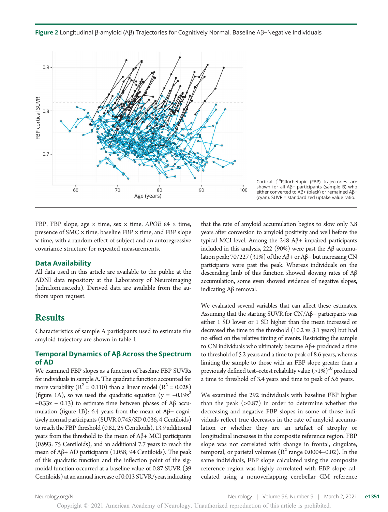



Cortical [18F]florbetapir (FBP) trajectories are shown for all Aβ− participants (sample B) who either converted to Aβ+ (black) or remained Aβ− (cyan). SUVR = standardized uptake value ratio.

FBP, FBP slope, age  $\times$  time, sex  $\times$  time, APOE  $\varepsilon$ 4  $\times$  time, presence of SMC × time, baseline FBP × time, and FBP slope × time, with a random effect of subject and an autoregressive covariance structure for repeated measurements.

### Data Availability

All data used in this article are available to the public at the ADNI data repository at the Laboratory of Neuroimaging ([adni.loni.usc.edu](http://adni.loni.usc.edu/)). Derived data are available from the authors upon request.

# Results

Characteristics of sample A participants used to estimate the amyloid trajectory are shown in table 1.

# Temporal Dynamics of Aβ Across the Spectrum of AD

We examined FBP slopes as a function of baseline FBP SUVRs for individuals in sample A. The quadratic function accounted for more variability ( $R^2 = 0.110$ ) than a linear model ( $R^2 = 0.028$ ) (figure 1A), so we used the quadratic equation (y =  $-0.19x^2$ ) +0.33x – 0.13) to estimate time between phases of A $\beta$  accumulation (figure 1B): 6.4 years from the mean of Aβ− cognitively normal participants (SUVR 0.745/SD 0.036, 4 Centiloids) to reach the FBP threshold (0.82, 25 Centiloids), 13.9 additional years from the threshold to the mean of Aβ+ MCI participants (0.993; 75 Centiloids), and an additional 7.7 years to reach the mean of Aβ+ AD participants (1.058; 94 Centiloids). The peak of this quadratic function and the inflection point of the sigmoidal function occurred at a baseline value of 0.87 SUVR (39 Centiloids) at an annual increase of 0.013 SUVR/year, indicating that the rate of amyloid accumulation begins to slow only 3.8 years after conversion to amyloid positivity and well before the typical MCI level. Among the 248 Aβ+ impaired participants included in this analysis, 222 (90%) were past the  $\mathcal{A}\beta$  accumulation peak; 70/227 (31%) of the Aβ+ or Aβ− but increasing CN participants were past the peak. Whereas individuals on the descending limb of this function showed slowing rates of Aβ accumulation, some even showed evidence of negative slopes, indicating Aβ removal.

We evaluated several variables that can affect these estimates. Assuming that the starting SUVR for CN/Aβ− participants was either 1 SD lower or 1 SD higher than the mean increased or decreased the time to the threshold (10.2 vs 3.1 years) but had no effect on the relative timing of events. Restricting the sample to CN individuals who ultimately became Aβ+ produced a time to threshold of 5.2 years and a time to peak of 8.6 years, whereas limiting the sample to those with an FBP slope greater than a previously defined test–retest reliability value  $(>1\%)^{10}$  produced a time to threshold of 3.4 years and time to peak of 5.6 years.

We examined the 292 individuals with baseline FBP higher than the peak  $(>0.87)$  in order to determine whether the decreasing and negative FBP slopes in some of those individuals reflect true decreases in the rate of amyloid accumulation or whether they are an artifact of atrophy or longitudinal increases in the composite reference region. FBP slope was not correlated with change in frontal, cingulate, temporal, or parietal volumes  $(R^2 \text{ range } 0.0004 - 0.02)$ . In the same individuals, FBP slope calculated using the composite reference region was highly correlated with FBP slope calculated using a nonoverlapping cerebellar GM reference

Copyright © 2021 American Academy of Neurology. Unauthorized reproduction of this article is prohibited.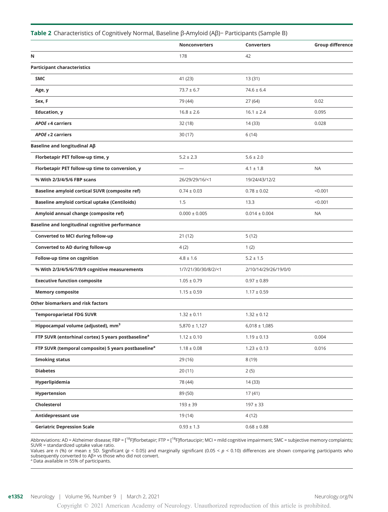|                                                                 | <b>Nonconverters</b>     | <b>Converters</b>    | <b>Group difference</b> |
|-----------------------------------------------------------------|--------------------------|----------------------|-------------------------|
| N                                                               | 178                      | 42                   |                         |
| <b>Participant characteristics</b>                              |                          |                      |                         |
| <b>SMC</b>                                                      | 41 (23)                  | 13(31)               |                         |
| Age, y                                                          | $73.7 \pm 6.7$           | $74.6 \pm 6.4$       |                         |
| Sex, F                                                          | 79 (44)                  | 27 (64)              | 0.02                    |
| <b>Education, y</b>                                             | $16.8 \pm 2.6$           | $16.1 \pm 2.4$       | 0.095                   |
| $APOE$ ε4 carriers                                              | 32 (18)                  | 14 (33)              | 0.028                   |
| APOE $\epsilon$ 2 carriers                                      | 30(17)                   | 6(14)                |                         |
| Baseline and longitudinal Aß                                    |                          |                      |                         |
| Florbetapir PET follow-up time, y                               | $5.2 \pm 2.3$            | $5.6 \pm 2.0$        |                         |
| Florbetapir PET follow-up time to conversion, y                 | $\overline{\phantom{0}}$ | $4.1 \pm 1.8$        | <b>NA</b>               |
| % With 2/3/4/5/6 FBP scans                                      | 26/29/29/16/<1           | 19/24/43/12/2        |                         |
| Baseline amyloid cortical SUVR (composite ref)                  | $0.74 \pm 0.03$          | $0.78 \pm 0.02$      | < 0.001                 |
| <b>Baseline amyloid cortical uptake (Centiloids)</b>            | 1.5                      | 13.3                 | < 0.001                 |
| Amyloid annual change (composite ref)                           | $0.000 \pm 0.005$        | $0.014 \pm 0.004$    | <b>NA</b>               |
| Baseline and longitudinal cognitive performance                 |                          |                      |                         |
| Converted to MCI during follow-up                               | 21(12)                   | 5(12)                |                         |
| Converted to AD during follow-up                                | 4(2)                     | 1(2)                 |                         |
| Follow-up time on cognition                                     | $4.8 \pm 1.6$            | $5.2 \pm 1.5$        |                         |
| % With 2/3/4/5/6/7/8/9 cognitive measurements                   | 1/7/21/30/30/8/2/<1      | 2/10/14/29/26/19/0/0 |                         |
| <b>Executive function composite</b>                             | $1.05 \pm 0.79$          | $0.97 \pm 0.89$      |                         |
| <b>Memory composite</b>                                         | $1.15 \pm 0.59$          | $1.17 \pm 0.59$      |                         |
| Other biomarkers and risk factors                               |                          |                      |                         |
| <b>Temporoparietal FDG SUVR</b>                                 | $1.32 \pm 0.11$          | $1.32 \pm 0.12$      |                         |
| Hippocampal volume (adjusted), mm <sup>3</sup>                  | $5,870 \pm 1,127$        | $6,018 \pm 1,085$    |                         |
| FTP SUVR (entorhinal cortex) 5 years postbaseline <sup>a</sup>  | $1.12 \pm 0.10$          | $1.19 \pm 0.13$      | 0.004                   |
| FTP SUVR (temporal composite) 5 years postbaseline <sup>a</sup> | $1.18 \pm 0.08$          | $1.23 \pm 0.13$      | 0.016                   |
| <b>Smoking status</b>                                           | 29 (16)                  | 8 (19)               |                         |
| <b>Diabetes</b>                                                 | 20(11)                   | 2(5)                 |                         |
| Hyperlipidemia                                                  | 78 (44)                  | 14 (33)              |                         |
| Hypertension                                                    | 89 (50)                  | 17 (41)              |                         |
| Cholesterol                                                     | $193 \pm 39$             | $197 \pm 33$         |                         |
| Antidepressant use                                              | 19 (14)                  | 4 (12)               |                         |
| <b>Geriatric Depression Scale</b>                               | $0.93 \pm 1.3$           | $0.68 \pm 0.88$      |                         |

### Table 2 Characteristics of Cognitively Normal, Baseline β-Amyloid (Aβ)− Participants (Sample B)

Abbreviations: AD = Alzheimer disease; FBP = [<sup>18</sup>F]florbetapir; FTP = [<sup>18</sup>F]flortaucipir; MCI = mild cognitive impairment; SMC = subjective memory complaints; SUVR = standardized uptake value ratio.

Values are n (%) or mean ± SD. Significant ( $p < 0.05$ ) and marginally significant (0.05 <  $p < 0.10$ ) differences are shown comparing participants who subsequently converted to Aβ+ vs those who did not convert.<br>ª Data available in 55% of participants.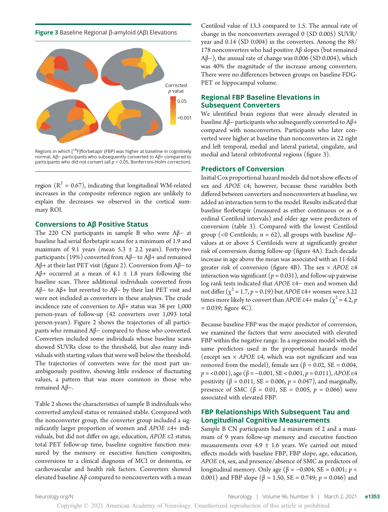Figure 3 Baseline Regional β-amyloid (Aβ) Elevations



Regions in which [<sup>18</sup>F]florbetapir (FBP) was higher at baseline in cognitively normal, Aβ− participants who subsequently converted to Aβ+ compared to participants who did not convert (all  $p < 0.05$ , Bonferroni-Holm correction).

region ( $R^2 = 0.67$ ), indicating that longitudinal WM-related increases in the composite reference region are unlikely to explain the decreases we observed in the cortical summary ROI.

### Conversions to Aβ Positive Status

The 220 CN participants in sample B who were Aβ− at baseline had serial florbetapir scans for a minimum of 1.9 and maximum of 9.1 years (mean  $5.3 \pm 2.2$  years). Forty-two participants (19%) converted from Aβ− to Aβ+ and remained Aβ+ at their last PET visit (figure 2). Conversion from Aβ− to Aβ+ occurred at a mean of 4.1  $\pm$  1.8 years following the baseline scan. Three additional individuals converted from Aβ− to Aβ+ but reverted to Aβ− by their last PET visit and were not included as converters in these analyses. The crude incidence rate of conversion to Aβ+ status was 38 per 1,000 person-years of follow-up (42 converters over 1,093 total person-years). Figure 2 shows the trajectories of all participants who remained Aβ− compared to those who converted. Converters included some individuals whose baseline scans showed SUVRs close to the threshold, but also many individuals with starting values that were well below the threshold. The trajectories of converters were for the most part unambiguously positive, showing little evidence of fluctuating values, a pattern that was more common in those who remained Aβ−.

Table 2 shows the characteristics of sample B individuals who converted amyloid status or remained stable. Compared with the nonconverter group, the converter group included a significantly larger proportion of women and APOE <sup>e</sup>4+ individuals, but did not differ on age, education, APOE <sup>e</sup>2 status, total PET follow-up time, baseline cognitive function measured by the memory or executive function composites, conversions to a clinical diagnosis of MCI or dementia, or cardiovascular and health risk factors. Converters showed elevated baseline Aβ compared to nonconverters with a mean

Centiloid value of 13.3 compared to 1.5. The annual rate of change in the nonconverters averaged 0 (SD 0.005) SUVR/ year and 0.14 (SD 0.004) in the converters. Among the 88/ 178 nonconverters who had positive Aβ slopes (but remained Aβ−), the annual rate of change was 0.006 (SD 0.004), which was 40% the magnitude of the increase among converters. There were no differences between groups on baseline FDG-PET or hippocampal volume.

### Regional FBP Baseline Elevations in Subsequent Converters

We identified brain regions that were already elevated in baseline Aβ− participants who subsequently converted to Aβ+ compared with nonconverters. Participants who later converted were higher at baseline than nonconverters in 22 right and left temporal, medial and lateral parietal, cingulate, and medial and lateral orbitofrontal regions (figure 3).

### Predictors of Conversion

Initial Cox proportional hazard models did not show effects of sex and APOE <sup>e</sup>4; however, because these variables both differed between converters and nonconverters at baseline, we added an interaction term to the model. Results indicated that baseline florbetapir (measured as either continuous or as 6 ordinal Centiloid intervals) and older age were predictors of conversion (table 3). Compared with the lowest Centiloid group (<0 Centiloids; n = 62), all groups with baseline  $A\beta$ values at or above 5 Centiloids were at significantly greater risk of conversion during follow-up (figure 4A). Each decade increase in age above the mean was associated with an 11-fold greater risk of conversion (figure 4B). The sex  $\times$  APOE  $\varepsilon$ 4 interaction was significant ( $p = 0.031$ ), and follow-up pairwise log rank tests indicated that APOE <sup>e</sup>4<sup>−</sup> men and women did not differ  $(\chi^2 = 1.7, p = 0.19)$  but *APOE* ε4+ women were 3.22 times more likely to convert than APOE  $\varepsilon$ 4+ males ( $\chi^2$  = 4.2, p  $= 0.039$ ; figure 4C).

Because baseline FBP was the major predictor of conversion, we examined the factors that were associated with elevated FBP within the negative range. In a regression model with the same predictors used in the proportional hazards model (except sex  $\times$  APOE  $\varepsilon$ 4, which was not significant and was removed from the model), female sex (β = 0.02, SE = 0.004,  $p = 0.001$ , age ( $\beta = -0.001$ , SE < 0.001,  $p = 0.011$ ), APOE  $\epsilon$ 4 positivity (β = 0.011, SE = 0.006,  $p = 0.047$ ), and marginally, presence of SMC (β = 0.01, SE = 0.005,  $p = 0.066$ ) were associated with elevated FBP.

### FBP Relationships With Subsequent Tau and Longitudinal Cognitive Measurements

Sample B CN participants had a minimum of 2 and a maximum of 9 years follow-up memory and executive function measurements over  $4.9 \pm 1.6$  years. We carried out mixed effects models with baseline FBP, FBP slope, age, education, APOE <sup>e</sup>4, sex, and presence/absence of SMC as predictors of longitudinal memory. Only age (β = −0.004, SE = 0.001; *p* < 0.001) and FBP slope ( $\beta$  = 1.50, SE = 0.749;  $p$  = 0.046) and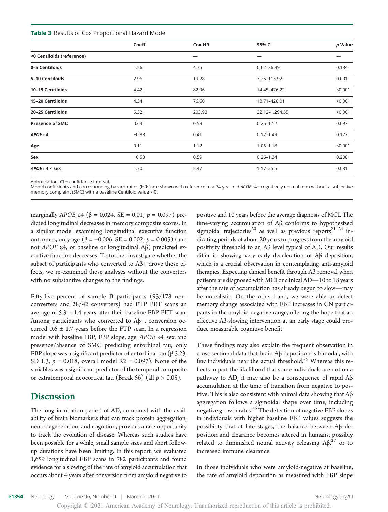**Table 3** Results of Cox Proportional Hazard Model

|                           | Coeff   | Cox HR | 95% CI         | p Value |
|---------------------------|---------|--------|----------------|---------|
| <0 Centiloids (reference) |         |        |                |         |
| 0-5 Centiloids            | 1.56    | 4.75   | $0.62 - 36.39$ | 0.134   |
| 5-10 Centiloids           | 2.96    | 19.28  | 3.26-113.92    | 0.001   |
| 10-15 Centiloids          | 4.42    | 82.96  | 14.45-476.22   | < 0.001 |
| 15-20 Centiloids          | 4.34    | 76.60  | 13.71-428.01   | < 0.001 |
| 20-25 Centiloids          | 5.32    | 203.93 | 32.12-1,294.55 | < 0.001 |
| <b>Presence of SMC</b>    | 0.63    | 0.53   | $0.26 - 1.12$  | 0.097   |
| APOE $\varepsilon$ 4      | $-0.88$ | 0.41   | $0.12 - 1.49$  | 0.177   |
| Age                       | 0.11    | 1.12   | $1.06 - 1.18$  | < 0.001 |
| Sex                       | $-0.53$ | 0.59   | $0.26 - 1.34$  | 0.208   |
| APOE $\epsilon$ 4 × sex   | 1.70    | 5.47   | $1.17 - 25.5$  | 0.031   |

Abbreviation: CI = confidence interval.

Model coefficients and corresponding hazard ratios (HRs) are shown with reference to a 74-year-old APOE ε4- cognitively normal man without a subjective memory complaint (SMC) with a baseline Centiloid value < 0.

marginally *APOE* ε4 (β = 0.024, SE = 0.01;  $p = 0.097$ ) predicted longitudinal decreases in memory composite scores. In a similar model examining longitudinal executive function outcomes, only age (β = −0.006, SE = 0.002;  $p = 0.005$ ) (and not APOE <sup>e</sup>4, or baseline or longitudinal Aβ) predicted executive function decreases. To further investigate whether the subset of participants who converted to Aβ+ drove these effects, we re-examined these analyses without the converters with no substantive changes to the findings.

Fifty-five percent of sample B participants (93/178 nonconverters and 28/42 converters) had FTP PET scans an average of  $5.3 \pm 1.4$  years after their baseline FBP PET scan. Among participants who converted to Aβ+, conversion occurred  $0.6 \pm 1.7$  years before the FTP scan. In a regression model with baseline FBP, FBP slope, age, APOE <sup>e</sup>4, sex, and presence/absence of SMC predicting entorhinal tau, only FBP slope was a significant predictor of entorhinal tau ( $\beta$  3.23, SD 1.3,  $p = 0.018$ ; overall model R2 = 0.097). None of the variables was a significant predictor of the temporal composite or extratemporal neocortical tau (Braak 56) (all  $p > 0.05$ ).

# **Discussion**

The long incubation period of AD, combined with the availability of brain biomarkers that can track protein aggregation, neurodegeneration, and cognition, provides a rare opportunity to track the evolution of disease. Whereas such studies have been possible for a while, small sample sizes and short followup durations have been limiting. In this report, we evaluated 1,659 longitudinal FBP scans in 782 participants and found evidence for a slowing of the rate of amyloid accumulation that occurs about 4 years after conversion from amyloid negative to

positive and 10 years before the average diagnosis of MCI. The time-varying accumulation of Aβ conforms to hypothesized sigmoidal trajectories<sup>20</sup> as well as previous reports<sup>21-24</sup> indicating periods of about 20 years to progress from the amyloid positivity threshold to an Aβ level typical of AD. Our results differ in showing very early deceleration of Aβ deposition, which is a crucial observation in contemplating anti-amyloid therapies. Expecting clinical benefit through Aβ removal when patients are diagnosed with MCI or clinical AD—10 to 18 years after the rate of accumulation has already begun to slow—may be unrealistic. On the other hand, we were able to detect memory change associated with FBP increases in CN participants in the amyloid negative range, offering the hope that an effective Aβ-slowing intervention at an early stage could produce measurable cognitive benefit.

These findings may also explain the frequent observation in cross-sectional data that brain Aβ deposition is bimodal, with few individuals near the actual threshold.<sup>25</sup> Whereas this reflects in part the likelihood that some individuals are not on a pathway to AD, it may also be a consequence of rapid Aβ accumulation at the time of transition from negative to positive. This is also consistent with animal data showing that Aβ aggregation follows a sigmoidal shape over time, including negative growth rates.<sup>26</sup> The detection of negative FBP slopes in individuals with higher baseline FBP values suggests the possibility that at late stages, the balance between Aβ deposition and clearance becomes altered in humans, possibly related to diminished neural activity releasing  $\text{A}\beta, \text{A}^{27}$  or to increased immune clearance.

In those individuals who were amyloid-negative at baseline, the rate of amyloid deposition as measured with FBP slope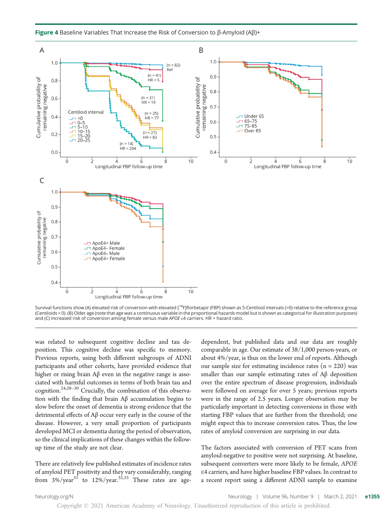

Figure 4 Baseline Variables That Increase the Risk of Conversion to β-Amyloid (Aβ)+



was related to subsequent cognitive decline and tau deposition. This cognitive decline was specific to memory. Previous reports, using both different subgroups of ADNI participants and other cohorts, have provided evidence that higher or rising brain Aβ even in the negative range is associated with harmful outcomes in terms of both brain tau and cognition.24,28–<sup>30</sup> Crucially, the combination of this observation with the finding that brain Aβ accumulation begins to slow before the onset of dementia is strong evidence that the detrimental effects of Aβ occur very early in the course of the disease. However, a very small proportion of participants developed MCI or dementia during the period of observation, so the clinical implications of these changes within the followup time of the study are not clear.

There are relatively few published estimates of incidence rates of amyloid PET positivity and they vary considerably, ranging from  $3\%/year^{31}$  to  $12\%/year^{32,33}$  These rates are agedependent, but published data and our data are roughly comparable in age. Our estimate of 38/1,000 person-years, or about 4%/year, is thus on the lower end of reports. Although our sample size for estimating incidence rates  $(n = 220)$  was smaller than our sample estimating rates of Aβ deposition over the entire spectrum of disease progression, individuals were followed on average for over 5 years; previous reports were in the range of 2.5 years. Longer observation may be particularly important in detecting conversions in those with starting FBP values that are further from the threshold; one might expect this to increase conversion rates. Thus, the low rates of amyloid conversion are surprising in our data.

The factors associated with conversion of PET scans from amyloid-negative to positive were not surprising. At baseline, subsequent converters were more likely to be female, APOE e4 carriers, and have higher baseline FBP values. In contrast to a recent report using a different ADNI sample to examine

[Neurology.org/N](http://neurology.org/n) **Neurology** | Volume 96, Number 9 | March 2, 2021 **e1355**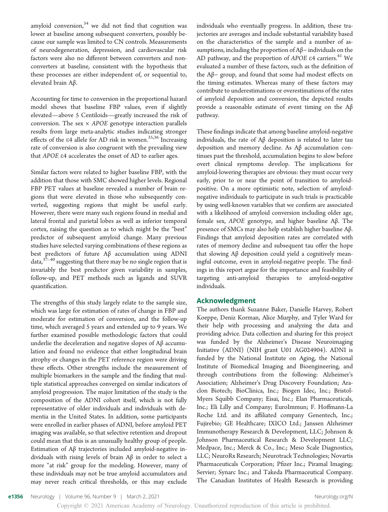amyloid conversion, $34$  we did not find that cognition was lower at baseline among subsequent converters, possibly because our sample was limited to CN controls. Measurements of neurodegeneration, depression, and cardiovascular risk factors were also no different between converters and nonconverters at baseline, consistent with the hypothesis that these processes are either independent of, or sequential to, elevated brain Aβ.

Accounting for time to conversion in the proportional hazard model shows that baseline FBP values, even if slightly elevated—above 5 Centiloids—greatly increased the risk of conversion. The sex  $\times$  APOE genotype interaction parallels results from large meta-analytic studies indicating stronger effects of the  $\varepsilon$ 4 allele for AD risk in women.<sup>35,36</sup> Increasing rate of conversion is also congruent with the prevailing view that APOE <sup>e</sup>4 accelerates the onset of AD to earlier ages.

Similar factors were related to higher baseline FBP, with the addition that those with SMC showed higher levels. Regional FBP PET values at baseline revealed a number of brain regions that were elevated in those who subsequently converted, suggesting regions that might be useful early. However, there were many such regions found in medial and lateral frontal and parietal lobes as well as inferior temporal cortex, raising the question as to which might be the "best" predictor of subsequent amyloid change. Many previous studies have selected varying combinations of these regions as best predictors of future Aβ accumulation using ADNI data, $37-40$  suggesting that there may be no single region that is invariably the best predictor given variability in samples, follow-up, and PET methods such as ligands and SUVR quantification.

The strengths of this study largely relate to the sample size, which was large for estimation of rates of change in FBP and moderate for estimation of conversion, and the follow-up time, which averaged 5 years and extended up to 9 years. We further examined possible methodologic factors that could underlie the deceleration and negative slopes of Aβ accumulation and found no evidence that either longitudinal brain atrophy or changes in the PET reference region were driving these effects. Other strengths include the measurement of multiple biomarkers in the sample and the finding that multiple statistical approaches converged on similar indicators of amyloid progression. The major limitation of the study is the composition of the ADNI cohort itself, which is not fully representative of older individuals and individuals with dementia in the United States. In addition, some participants were enrolled in earlier phases of ADNI, before amyloid PET imaging was available, so that selective retention and dropout could mean that this is an unusually healthy group of people. Estimation of Aβ trajectories included amyloid-negative individuals with rising levels of brain Aβ in order to select a more "at risk" group for the modeling. However, many of these individuals may not be true amyloid accumulators and may never reach critical thresholds, or this may exclude

individuals who eventually progress. In addition, these trajectories are averages and include substantial variability based on the characteristics of the sample and a number of assumptions, including the proportion of Aβ− individuals on the AD pathway, and the proportion of  $APOE$   $E4$  carriers.<sup>41</sup> We evaluated a number of these factors, such as the definition of the Aβ− group, and found that some had modest effects on the timing estimates. Whereas many of these factors may contribute to underestimations or overestimations of the rates of amyloid deposition and conversion, the depicted results provide a reasonable estimate of event timing on the  $Aβ$ pathway.

These findings indicate that among baseline amyloid-negative individuals, the rate of Aβ deposition is related to later tau deposition and memory decline. As Aβ accumulation continues past the threshold, accumulation begins to slow before overt clinical symptoms develop. The implications for amyloid-lowering therapies are obvious: they must occur very early, prior to or near the point of transition to amyloidpositive. On a more optimistic note, selection of amyloidnegative individuals to participate in such trials is practicable by using well-known variables that we confirm are associated with a likelihood of amyloid conversion including older age, female sex, APOE genotype, and higher baseline Aβ. The presence of SMCs may also help establish higher baseline Aβ. Findings that amyloid deposition rates are correlated with rates of memory decline and subsequent tau offer the hope that slowing Aβ deposition could yield a cognitively meaningful outcome, even in amyloid-negative people. The findings in this report argue for the importance and feasibility of targeting anti-amyloid therapies to amyloid-negative individuals.

#### Acknowledgment

The authors thank Suzanne Baker, Danielle Harvey, Robert Koeppe, Deniz Korman, Alice Murphy, and Tyler Ward for their help with processing and analyzing the data and providing advice. Data collection and sharing for this project was funded by the Alzheimer's Disease Neuroimaging Initiative (ADNI) (NIH grant U01 AG024904). ADNI is funded by the National Institute on Aging, the National Institute of Biomedical Imaging and Bioengineering, and through contributions from the following: Alzheimer's Association; Alzheimer's Drug Discovery Foundation; Araclon Biotech; BioClinica, Inc.; Biogen Idec, Inc.; Bristol-Myers Squibb Company; Eisai, Inc.; Elan Pharmaceuticals, Inc.; Eli Lilly and Company; EuroImmun; F. Hoffmann-La Roche Ltd. and its affiliated company Genentech, Inc.; Fujirebio; GE Healthcare; IXICO Ltd.; Janssen Alzheimer Immunotherapy Research & Development, LLC; Johnson & Johnson Pharmaceutical Research & Development LLC; Medpace, Inc.; Merck & Co., Inc.; Meso Scale Diagnostics, LLC; NeuroRx Research; Neurotrack Technologies; Novartis Pharmaceuticals Corporation; Pfizer Inc.; Piramal Imaging; Servier; Synarc Inc.; and Takeda Pharmaceutical Company. The Canadian Institutes of Health Research is providing

e1356 Neurology | Volume 96, Number 9 | March 2, 2021 [Neurology.org/N](http://neurology.org/n) Neurology.org/N